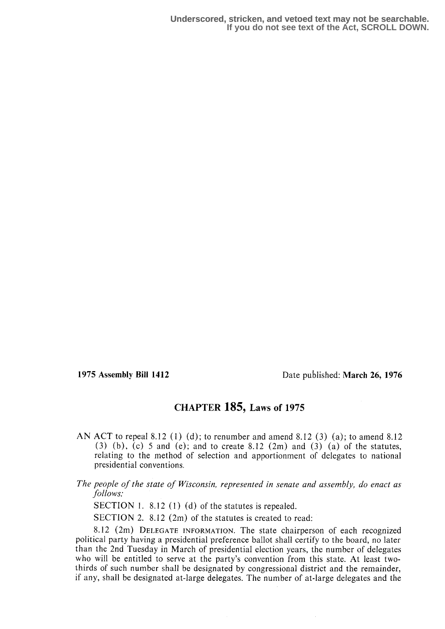1975 Assembly Bill 1412 Date published: March 26, 1976

## CHAPTER 185, Laws of 1975

- AN ACT to repeal 8.12 (1) (d); to renumber and amend 8.12 (3) (a); to amend 8.12 (3) (b), (c) 5 and (e); and to create 8.12 (2m) and (3) (a) of the statutes, relating to the method of selection and apportionment of delegates to national presidential conventions.
- The people of the state of Wisconsin, represented in senate and assembly, do enact as follows:

SECTION 1. 8.12 (1) (d) of the statutes is repealed.

SECTION 2. 8.12 (2m) of the statutes is created to read:

8.12 (2m) DELEGATE INFORMATION. The state chairperson of each recognized political party having a presidential preference ballot shall certify to the board, no later than the 2nd Tuesday in March of presidential election years, the number of delegates who will be entitled to serve at the party's convention from this state. At least twothirds of such number shall be designated by congressional district and the remainder, if any, shall be designated at-large delegates . The number of at-large delegates and the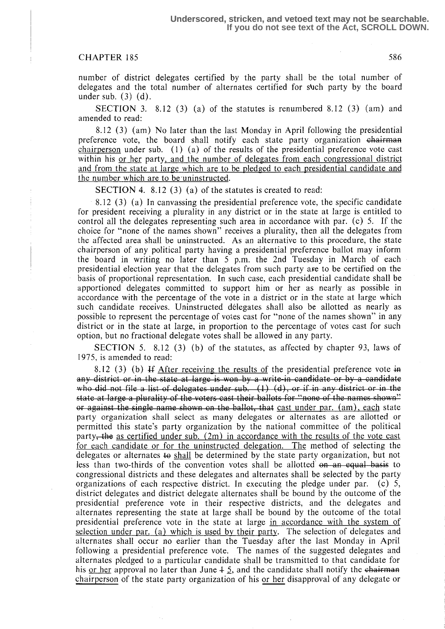## CHAPTER 185 586

number of district delegates certified by the party shall be the total number of delegates and the total number of alternates certified for such party by the board under sub.  $(3)$   $(d)$ .

SECTION 3. 8.12 (3) (a) of the statutes is renumbered 8.12 (3) (am) and amended to read:

8.12 (3) (am) No later than the last Monday in April following the presidential preference vote, the board shall notify each state party organization chairman chairperson under sub. (1) (a) of the results of the presidential preference vote cast within his or her party, and the number of delegates from each congressional district and from the state at large which are to be pledged to each presidential candidate and the number which are to be uninstructed.

SECTION 4. 8.12  $(3)$  (a) of the statutes is created to read:

8.12 (3) (a) In canvassing the presidential preference vote, the specific candidate for president receiving a plurality in any district or in the state at large is entitled to control all the delegates representing such area in accordance with par. (c) 5. If the choice for "none of the names shown" receives a plurality, then all the delegates from the affected area shall be uninstructed. As an alternative to this procedure, the state chairperson of any political party having a presidential preference ballot may inform the board in writing no later than 5 p.m. the 2nd Tuesday in March of each presidential election year that the delegates from such party axe to be certified on the basis of proportional representation. In such case, each presidential candidate shall be apportioned delegates committed to support him or her as nearly as possible in accordance with the percentage of the vote in a district or in the state at large which such candidate receives . Uninstructed delegates shall also be allotted as nearly as possible to represent the percentage of votes cast for "none of the names shown" in any district or in the state at large, in proportion to the percentage of votes cast for such option, but no fractional delegate votes shall be allowed in any party.

SECTION 5. 8.12 (3) (b) of the statutes, as affected by chapter 93, laws of 1975, is amended to read:

8.12 (3) (b) If After receiving the results of the presidential preference vote  $\overline{a}$ 5. SECTION 5. 6.12 (5) (6) of the statutes, as affected to read:<br>
8.12 (3) (b) If <u>After receiving the results of</u> the pres-<br>  $\frac{d}{dx}$  district or in the state at large is won by a write-in cap did not file a list of del ndidate or by a candidate who did not file a list of delegates under sub.  $(1)$   $(d)$ , or if in any district or in the state at large a plurality of the voters cast their ballots for "none of the names or against the single name shown on the ballot, that cast under par.  $(am)$ , each state party organization shall select as many delegates or alternates as are allotted or permitted this state's party organization by the national committee of the political party, the as certified under sub.  $(2m)$  in accordance with the results of the vote cast for each candidate or for the uninstructed delegation. The method of selecting the delegates or alternates to shall be determined by the state party organization, but not less than two-thirds of the convention votes shall be allotted  $\rho$ —an equal basis to congressional districts and these delegates and alternates shall be selected by the party organizations of each respective district. In executing the pledge under par. (c) 5, organizations of each respective district. In executing the pledge under par. district delegates and district delegate alternates shall be bound by the outcome of the presidential preference vote in their respective districts, and the delegates and alternates representing the state at large shall be bound by the outcome of the total presidential preference vote in the state at large in accordance with the system of selection under par. (a) which is used by their party. The selection of delegates and alternates shall occur no earlier than the Tuesday after the last Monday in April following a presidential preference vote. The names of the suggested delegates and alternates pledged to a particular candidate shall be transmitted to that candidate for his or her approval no later than June  $\frac{1}{2}$ , and the candidate shall notify the chairman chairperson of the state party organization of his or her disapproval of any delegate or